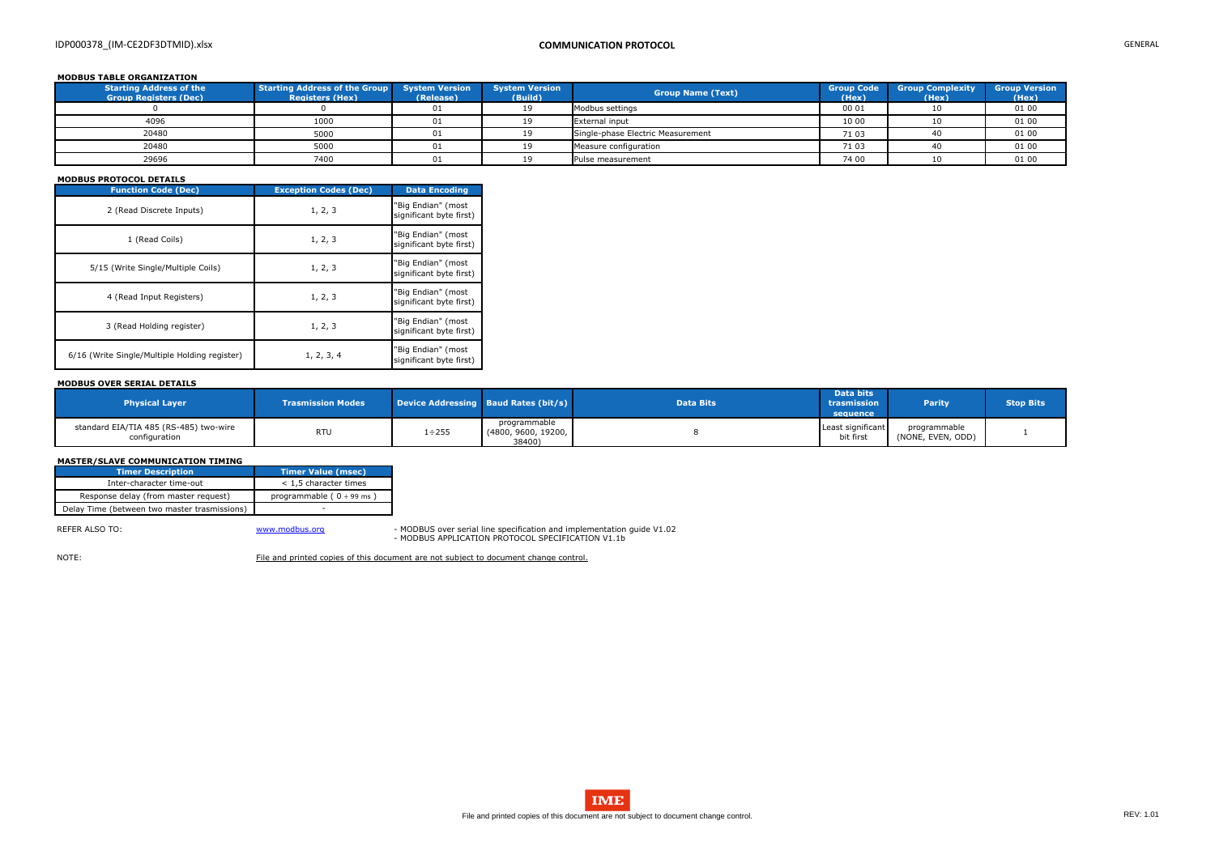# IDP000378\_(IM-CE2DF3DTMID).xlsx **COMMUNICATION PROTOCOL** GENERAL

## **MODBUS TABLE ORGANIZATION**

| <b>Starting Address of the</b><br><b>Group Registers (Dec)</b> | Starting Address of the Group System Version<br><b>Registers (Hex)</b> | (Release) | <b>System Version</b><br>(Build) | <b>Group Name (Text)</b>          | <b>Group Code</b><br>(Hex) | <b>Group Complexity</b><br>(Hex) | <b>Group Version</b><br>(Hex) |
|----------------------------------------------------------------|------------------------------------------------------------------------|-----------|----------------------------------|-----------------------------------|----------------------------|----------------------------------|-------------------------------|
|                                                                |                                                                        | 01        |                                  | Modbus settings                   | 00 01                      |                                  | 01 00                         |
| 4096                                                           | 1000                                                                   | 01        |                                  | <b>External input</b>             | 10 00                      |                                  | 01 00                         |
| 20480                                                          | 5000                                                                   | 01        |                                  | Single-phase Electric Measurement | 71 03                      |                                  | 01 00                         |
| 20480                                                          | 5000                                                                   | 01        |                                  | Measure configuration             | 71 03                      |                                  | 01 00                         |
| 29696                                                          | 7400                                                                   | 01        |                                  | Pulse measurement                 | 74 00                      |                                  | 01 00                         |

## **MODBUS PROTOCOL DETAILS**

| <b>Function Code (Dec)</b>                    | <b>Exception Codes (Dec)</b> | <b>Data Encoding</b>                          |
|-----------------------------------------------|------------------------------|-----------------------------------------------|
| 2 (Read Discrete Inputs)                      | 1, 2, 3                      | "Big Endian" (most<br>significant byte first) |
| 1 (Read Coils)                                | 1, 2, 3                      | "Big Endian" (most<br>significant byte first) |
| 5/15 (Write Single/Multiple Coils)            | 1, 2, 3                      | "Big Endian" (most<br>significant byte first) |
| 4 (Read Input Registers)                      | 1, 2, 3                      | "Big Endian" (most<br>significant byte first) |
| 3 (Read Holding register)                     | 1, 2, 3                      | "Big Endian" (most<br>significant byte first) |
| 6/16 (Write Single/Multiple Holding register) | 1, 2, 3, 4                   | "Big Endian" (most<br>significant byte first) |

REFER ALSO TO: Noting the Superinten of the Wave William of Mondo and implementation guide V1.02 - MODBUS APPLICATION PROTOCOL SPECIFICATION V1.1b

NOTE: File and printed copies of this document are not subject to document change control.

### **MODBUS OVER SERIAL DETAILS**

| <b>Physical Layer</b>                                   | <b>Trasmission Modes</b> |              | Device Addressing Baud Rates (bit/s)          | <b>Data Bits</b> | Data bits<br>trasmission<br>sequence | <b>Parity</b>                     | <b>Stop Bits</b> |
|---------------------------------------------------------|--------------------------|--------------|-----------------------------------------------|------------------|--------------------------------------|-----------------------------------|------------------|
| standard EIA/TIA 485 (RS-485) two-wire<br>configuration | <b>RTU</b>               | $1 \div 255$ | programmable<br>(4800, 9600, 19200,<br>38400) |                  | Least significant<br>bit first       | programmable<br>(NONE, EVEN, ODD) |                  |

### **MASTER/SLAVE COMMUNICATION TIMING**

| Timer Description                            | Timer Value (msec)             |
|----------------------------------------------|--------------------------------|
| Inter-character time-out                     | $<$ 1,5 character times        |
| Response delay (from master request)         | programmable ( $0 \div 99$ ms) |
| Delay Time (between two master trasmissions) |                                |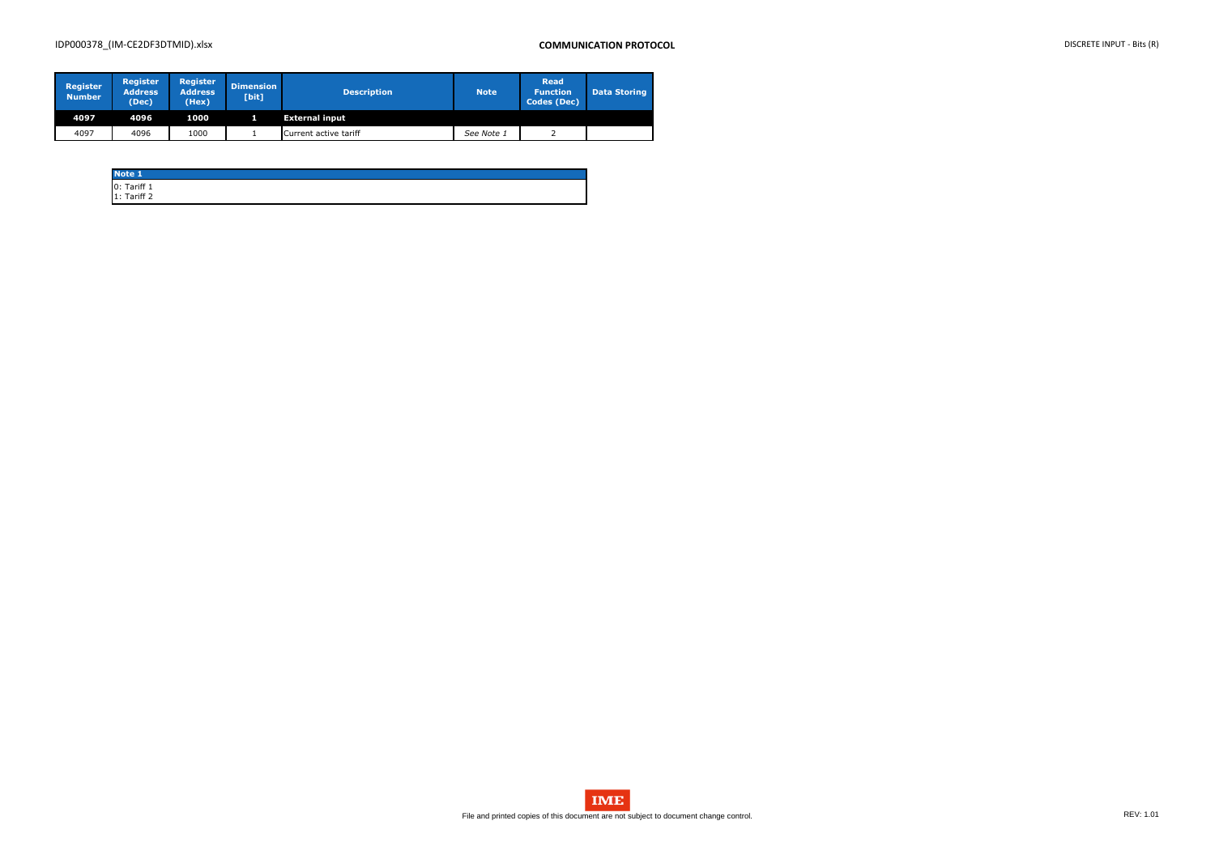# IDP000378\_(IM-CE2DF3DTMID).xlsx **COMMUNICATION PROTOCOL** DISCRETE INPUT - Bits (R)

| <b>Register</b><br><b>Number</b> | <b>Register</b><br><b>Address</b><br>(Dec) | <b>Register</b><br><b>Address</b><br>(Hex) | <b>Dimension</b><br>[bit] | <b>Description</b>    | <b>Note</b> | <b>Read</b><br><b>Function</b><br><b>Codes (Dec)</b> | <b>Data Storing</b> |
|----------------------------------|--------------------------------------------|--------------------------------------------|---------------------------|-----------------------|-------------|------------------------------------------------------|---------------------|
| 4097                             | 4096                                       | 1000                                       |                           | <b>External input</b> |             |                                                      |                     |
| 4097                             | 4096                                       | 1000                                       |                           | Current active tariff | See Note 1  |                                                      |                     |

| <b>Note 1</b>              |  |  |
|----------------------------|--|--|
| 0: Tariff 1<br>1: Tariff 2 |  |  |
|                            |  |  |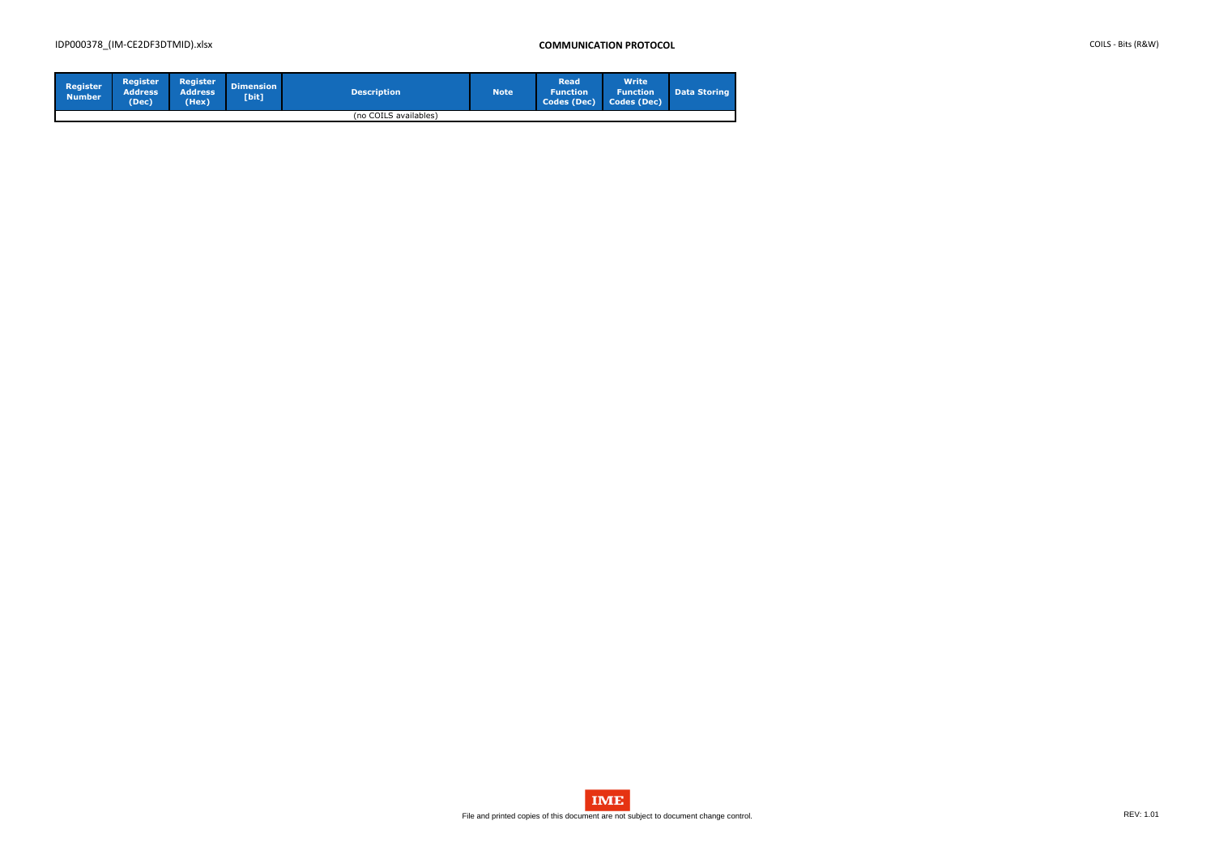# IDP000378\_(IM-CE2DF3DTMID).xlsx **COMMUNICATION PROTOCOL** COILS - Bits (R&W)

| <b>Register</b><br><b>Number</b> | <b>Register</b><br><b>Address</b><br>(Dec) | Register<br>Address'<br>(Hex) | <b>Dimension</b><br>[bit] | <b>Description</b>    | <b>Note</b> | <b>Read</b><br><b>N</b> Function<br>Codes (Dec) | <b>Write</b><br><b>Function</b><br>Codes (Dec) | <b>Data Storing</b> |
|----------------------------------|--------------------------------------------|-------------------------------|---------------------------|-----------------------|-------------|-------------------------------------------------|------------------------------------------------|---------------------|
|                                  |                                            |                               |                           | (no COILS availables) |             |                                                 |                                                |                     |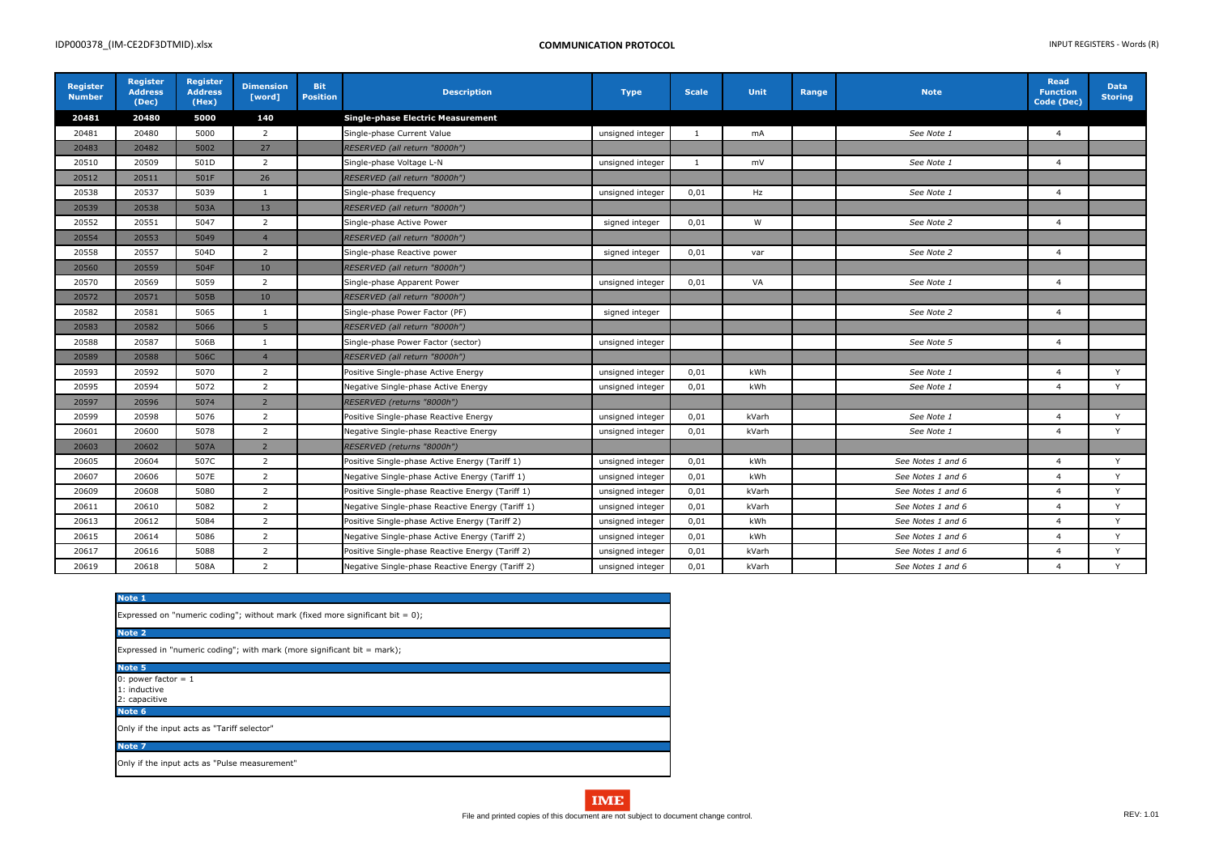| Register<br><b>Number</b> | <b>Register</b><br><b>Address</b><br>(Dec) | <b>Register</b><br><b>Address</b><br>(Hex) | <b>Dimension</b><br>[word] | <b>Bit</b><br><b>Position</b> | <b>Description</b>                                                      | <b>Type</b>      | <b>Scale</b>   | <b>Unit</b> | Range | <b>Note</b>       | <b>Read</b><br><b>Function</b><br>Code (Dec) | <b>Data</b><br><b>Storing</b> |
|---------------------------|--------------------------------------------|--------------------------------------------|----------------------------|-------------------------------|-------------------------------------------------------------------------|------------------|----------------|-------------|-------|-------------------|----------------------------------------------|-------------------------------|
| 20481                     | 20480                                      | 5000                                       | 140                        |                               | <b>Single-phase Electric Measurement</b>                                |                  |                |             |       |                   |                                              |                               |
| 20481                     | 20480                                      | 5000                                       | $\overline{2}$             |                               | See Note 1<br>Single-phase Current Value<br>unsigned integer<br>mA<br>1 |                  | $\overline{4}$ |             |       |                   |                                              |                               |
| 20483                     | 20482                                      | 5002                                       | 27                         |                               | RESERVED (all return "8000h")                                           |                  |                |             |       |                   |                                              |                               |
| 20510                     | 20509                                      | 501D                                       | $\overline{2}$             |                               | Single-phase Voltage L-N                                                | unsigned integer | 1              | mV          |       | See Note 1        | $\overline{4}$                               |                               |
| 20512                     | 20511                                      | 501F                                       | 26                         |                               | RESERVED (all return "8000h")                                           |                  |                |             |       |                   |                                              |                               |
| 20538                     | 20537                                      | 5039                                       | 1                          |                               | Single-phase frequency                                                  | unsigned integer | 0,01           | Hz          |       | See Note 1        | $\overline{4}$                               |                               |
| 20539                     | 20538                                      | 503A                                       | 13                         |                               | RESERVED (all return "8000h")                                           |                  |                |             |       |                   |                                              |                               |
| 20552                     | 20551                                      | 5047                                       | $\overline{2}$             |                               | Single-phase Active Power                                               | signed integer   | 0,01           | W           |       | See Note 2        | $\overline{4}$                               |                               |
| 20554                     | 20553                                      | 5049                                       | $\overline{4}$             |                               | RESERVED (all return "8000h")                                           |                  |                |             |       |                   |                                              |                               |
| 20558                     | 20557                                      | 504D                                       | $\overline{2}$             |                               | Single-phase Reactive power                                             | signed integer   | 0,01           | var         |       | See Note 2        | $\overline{4}$                               |                               |
| 20560                     | 20559                                      | 504F                                       | 10                         |                               | RESERVED (all return "8000h")                                           |                  |                |             |       |                   |                                              |                               |
| 20570                     | 20569                                      | 5059                                       | $\overline{2}$             |                               | Single-phase Apparent Power                                             | unsigned integer | 0,01           | VA          |       | See Note 1        | $\overline{4}$                               |                               |
| 20572                     | 20571                                      | 505B                                       | $10\,$                     |                               | RESERVED (all return "8000h")                                           |                  |                |             |       |                   |                                              |                               |
| 20582                     | 20581                                      | 5065                                       | 1                          |                               | Single-phase Power Factor (PF)                                          | signed integer   |                |             |       | See Note 2        | $\overline{4}$                               |                               |
| 20583                     | 20582                                      | 5066                                       | $5\phantom{.}$             |                               | RESERVED (all return "8000h")                                           |                  |                |             |       |                   |                                              |                               |
| 20588                     | 20587                                      | 506B                                       | $\mathbf{1}$               |                               | Single-phase Power Factor (sector)                                      | unsigned integer |                |             |       | See Note 5        | $\overline{4}$                               |                               |
| 20589                     | 20588                                      | 506C                                       | $\overline{4}$             |                               | RESERVED (all return "8000h")                                           |                  |                |             |       |                   |                                              |                               |
| 20593                     | 20592                                      | 5070                                       | $\overline{2}$             |                               | Positive Single-phase Active Energy                                     | unsigned integer | 0,01           | kWh         |       | See Note 1        | $\overline{4}$                               | Y                             |
| 20595                     | 20594                                      | 5072                                       | $\overline{2}$             |                               | Negative Single-phase Active Energy                                     | unsigned integer | 0,01           | kWh         |       | See Note 1        | $\overline{4}$                               | Y                             |
| 20597                     | 20596                                      | 5074                                       | $\overline{2}$             |                               | RESERVED (returns "8000h")                                              |                  |                |             |       |                   |                                              |                               |
| 20599                     | 20598                                      | 5076                                       | $\overline{2}$             |                               | Positive Single-phase Reactive Energy                                   | unsigned integer | 0,01           | kVarh       |       | See Note 1        | $\overline{4}$                               | Y                             |
| 20601                     | 20600                                      | 5078                                       | $\overline{2}$             |                               | Negative Single-phase Reactive Energy                                   | unsigned integer | 0,01           | kVarh       |       | See Note 1        | $\overline{4}$                               | Y                             |
| 20603                     | 20602                                      | 507A                                       | $\overline{2}$             |                               | RESERVED (returns "8000h")                                              |                  |                |             |       |                   |                                              |                               |
| 20605                     | 20604                                      | 507C                                       | $\overline{2}$             |                               | Positive Single-phase Active Energy (Tariff 1)                          | unsigned integer | 0,01           | kWh         |       | See Notes 1 and 6 | $\overline{4}$                               | Y                             |
| 20607                     | 20606                                      | 507E                                       | $\overline{2}$             |                               | Negative Single-phase Active Energy (Tariff 1)                          | unsigned integer | 0,01           | kWh         |       | See Notes 1 and 6 | $\overline{4}$                               | Y                             |
| 20609                     | 20608                                      | 5080                                       | $\overline{2}$             |                               | Positive Single-phase Reactive Energy (Tariff 1)                        | unsigned integer | 0,01           | kVarh       |       | See Notes 1 and 6 | $\overline{4}$                               | Y                             |
| 20611                     | 20610                                      | 5082                                       | $\overline{2}$             |                               | Negative Single-phase Reactive Energy (Tariff 1)                        | unsigned integer | 0,01           | kVarh       |       | See Notes 1 and 6 | $\overline{4}$                               | Y                             |
| 20613                     | 20612                                      | 5084                                       | $\overline{2}$             |                               | Positive Single-phase Active Energy (Tariff 2)                          | unsigned integer | 0,01           | kWh         |       | See Notes 1 and 6 | $\overline{4}$                               | Y                             |
| 20615                     | 20614                                      | 5086                                       | $\overline{2}$             |                               | Negative Single-phase Active Energy (Tariff 2)                          | unsigned integer | 0,01           | kWh         |       | See Notes 1 and 6 | $\overline{4}$                               | Y                             |
| 20617                     | 20616                                      | 5088                                       | $\overline{2}$             |                               | Positive Single-phase Reactive Energy (Tariff 2)                        | unsigned integer | 0,01           | kVarh       |       | See Notes 1 and 6 | $\overline{4}$                               | Y                             |
| 20619                     | 20618                                      | 508A                                       | 2                          |                               | Negative Single-phase Reactive Energy (Tariff 2)                        | unsigned integer | 0,01           | kVarh       |       | See Notes 1 and 6 | $\overline{a}$                               | Y                             |

| <b>Note 1</b>                                                                    |
|----------------------------------------------------------------------------------|
| Expressed on "numeric coding"; without mark (fixed more significant bit $= 0$ ); |
| Note 2                                                                           |
| Expressed in "numeric coding"; with mark (more significant bit $=$ mark);        |
| Note 5                                                                           |
| 0: power factor = $1$                                                            |
| 1: inductive                                                                     |
| 2: capacitive                                                                    |
| Note 6                                                                           |
| Only if the input acts as "Tariff selector"                                      |
| Note 7                                                                           |
| Only if the input acts as "Pulse measurement"                                    |
|                                                                                  |

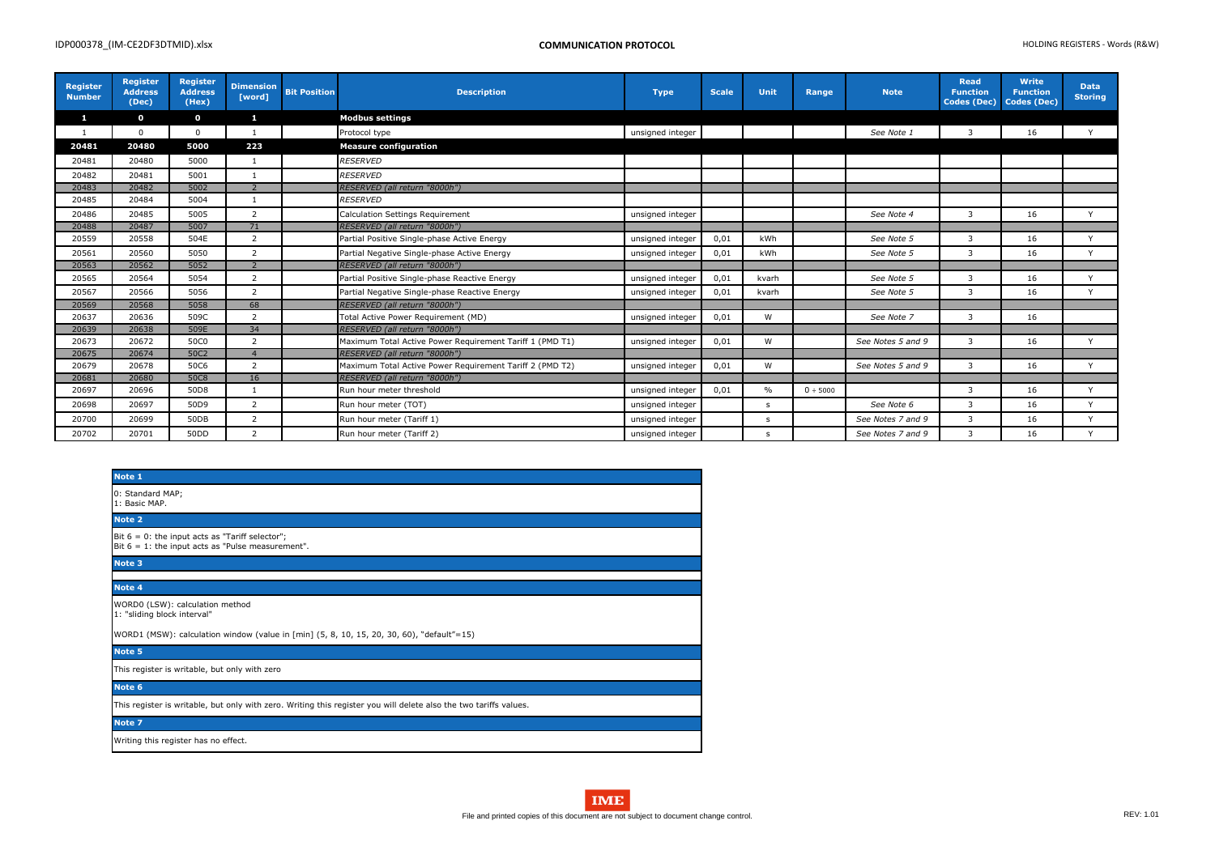| <b>Register</b><br><b>Number</b> | <b>Register</b><br><b>Address</b><br>(Dec) | <b>Register</b><br><b>Address</b><br>(Hex) | <b>Dimension</b><br>[word] | <b>Bit Position</b> | <b>Description</b>                                       | <b>Type</b>      | <b>Scale</b> | Unit  | Range    | <b>Note</b>       | <b>Read</b><br><b>Function</b><br><b>Codes (Dec)</b> | <b>Write</b><br><b>Function</b><br><b>Codes (Dec)</b> | <b>Data</b><br><b>Storing</b> |
|----------------------------------|--------------------------------------------|--------------------------------------------|----------------------------|---------------------|----------------------------------------------------------|------------------|--------------|-------|----------|-------------------|------------------------------------------------------|-------------------------------------------------------|-------------------------------|
| $\mathbf{1}$                     | $\mathbf{o}$                               | $\mathbf{o}$                               | $\mathbf{1}$               |                     | <b>Modbus settings</b>                                   |                  |              |       |          |                   |                                                      |                                                       |                               |
| 1                                | $\mathbf 0$                                | $\mathbf 0$                                |                            |                     | Protocol type                                            | unsigned integer |              |       |          | See Note 1        | 3                                                    | 16                                                    | $\vee$                        |
| 20481                            | 20480                                      | 5000                                       | 223                        |                     | <b>Measure configuration</b>                             |                  |              |       |          |                   |                                                      |                                                       |                               |
| 20481                            | 20480                                      | 5000                                       |                            |                     | <b>RESERVED</b>                                          |                  |              |       |          |                   |                                                      |                                                       |                               |
| 20482                            | 20481                                      | 5001                                       |                            |                     | <b>RESERVED</b>                                          |                  |              |       |          |                   |                                                      |                                                       |                               |
| 20483                            | 20482                                      | 5002                                       | $\overline{2}$             |                     | RESERVED (all return "8000h")                            |                  |              |       |          |                   |                                                      |                                                       |                               |
| 20485                            | 20484                                      | 5004                                       |                            |                     | <b>RESERVED</b>                                          |                  |              |       |          |                   |                                                      |                                                       |                               |
| 20486                            | 20485                                      | 5005                                       | 2                          |                     | <b>Calculation Settings Requirement</b>                  | unsigned integer |              |       |          | See Note 4        | 3                                                    | 16                                                    | Y                             |
| 20488                            | 20487                                      | 5007                                       | 71                         |                     | RESERVED (all return "8000h")                            |                  |              |       |          |                   |                                                      |                                                       |                               |
| 20559                            | 20558                                      | 504E                                       | $\overline{2}$             |                     | Partial Positive Single-phase Active Energy              | unsigned integer | 0,01         | kWh   |          | See Note 5        | 3                                                    | 16                                                    | $\vee$                        |
| 20561                            | 20560                                      | 5050                                       | $\overline{2}$             |                     | Partial Negative Single-phase Active Energy              | unsigned integer | 0,01         | kWh   |          | See Note 5        | 3                                                    | 16                                                    | Y                             |
| 20563                            | 20562                                      | 5052                                       | $\overline{2}$             |                     | RESERVED (all return "8000h")                            |                  |              |       |          |                   |                                                      |                                                       |                               |
| 20565                            | 20564                                      | 5054                                       | 2                          |                     | Partial Positive Single-phase Reactive Energy            | unsigned integer | 0,01         | kvarh |          | See Note 5        | 3                                                    | 16                                                    | $\mathsf{Y}$                  |
| 20567                            | 20566                                      | 5056                                       | $\overline{2}$             |                     | Partial Negative Single-phase Reactive Energy            | unsigned integer | 0,01         | kvarh |          | See Note 5        | 3                                                    | 16                                                    | Y                             |
| 20569                            | 20568                                      | 5058                                       | 68                         |                     | RESERVED (all return "8000h")                            |                  |              |       |          |                   |                                                      |                                                       |                               |
| 20637                            | 20636                                      | 509C                                       | 2                          |                     | Total Active Power Requirement (MD)                      | unsigned integer | 0,01         | W     |          | See Note 7        | 3                                                    | 16                                                    |                               |
| 20639                            | 20638                                      | 509E                                       | 34                         |                     | RESERVED (all return "8000h")                            |                  |              |       |          |                   |                                                      |                                                       |                               |
| 20673                            | 20672                                      | 50C0                                       | $\overline{2}$             |                     | Maximum Total Active Power Requirement Tariff 1 (PMD T1) | unsigned integer | 0,01         | W     |          | See Notes 5 and 9 | 3                                                    | 16                                                    | Y                             |
| 20675                            | 20674                                      | 50C2                                       | $\overline{4}$             |                     | RESERVED (all return "8000h")                            |                  |              |       |          |                   |                                                      |                                                       |                               |
| 20679                            | 20678                                      | 50C6                                       | 2                          |                     | Maximum Total Active Power Requirement Tariff 2 (PMD T2) | unsigned integer | 0,01         | W     |          | See Notes 5 and 9 | 3                                                    | 16                                                    | $\vee$                        |
| 20681                            | 20680                                      | 50C8                                       | 16                         |                     | RESERVED (all return "8000h")                            |                  |              |       |          |                   |                                                      |                                                       |                               |
| 20697                            | 20696                                      | 50D8                                       |                            |                     | Run hour meter threshold                                 | unsigned integer | 0,01         | $\%$  | 0 ÷ 5000 |                   | 3                                                    | 16                                                    | $\mathbf{v}$                  |
| 20698                            | 20697                                      | 50D9                                       | 2                          |                     | Run hour meter (TOT)                                     | unsigned integer |              | S.    |          | See Note 6        | $\mathbf{3}$                                         | 16                                                    | $\mathsf{Y}$                  |
| 20700                            | 20699                                      | 50DB                                       | $\overline{2}$             |                     | Run hour meter (Tariff 1)                                | unsigned integer |              | S.    |          | See Notes 7 and 9 | 3                                                    | 16                                                    | Y                             |
| 20702                            | 20701                                      | 50 <sub>D</sub>                            | $\overline{2}$             |                     | Run hour meter (Tariff 2)                                | unsigned integer |              | -S    |          | See Notes 7 and 9 | 3                                                    | 16                                                    | $\mathsf{v}$                  |

| Note 1                                                                                                            |  |
|-------------------------------------------------------------------------------------------------------------------|--|
| 0: Standard MAP;<br>1: Basic MAP.                                                                                 |  |
| Note 2                                                                                                            |  |
| Bit $6 = 0$ : the input acts as "Tariff selector";<br>Bit $6 = 1$ : the input acts as "Pulse measurement".        |  |
| Note 3                                                                                                            |  |
| Note 4                                                                                                            |  |
| WORD0 (LSW): calculation method<br>1: "sliding block interval"                                                    |  |
| WORD1 (MSW): calculation window (value in [min] (5, 8, 10, 15, 20, 30, 60), "default"=15)                         |  |
| Note 5                                                                                                            |  |
| This register is writable, but only with zero                                                                     |  |
| Note 6                                                                                                            |  |
| This register is writable, but only with zero. Writing this register you will delete also the two tariffs values. |  |
| Note 7                                                                                                            |  |
| Writing this register has no effect.                                                                              |  |